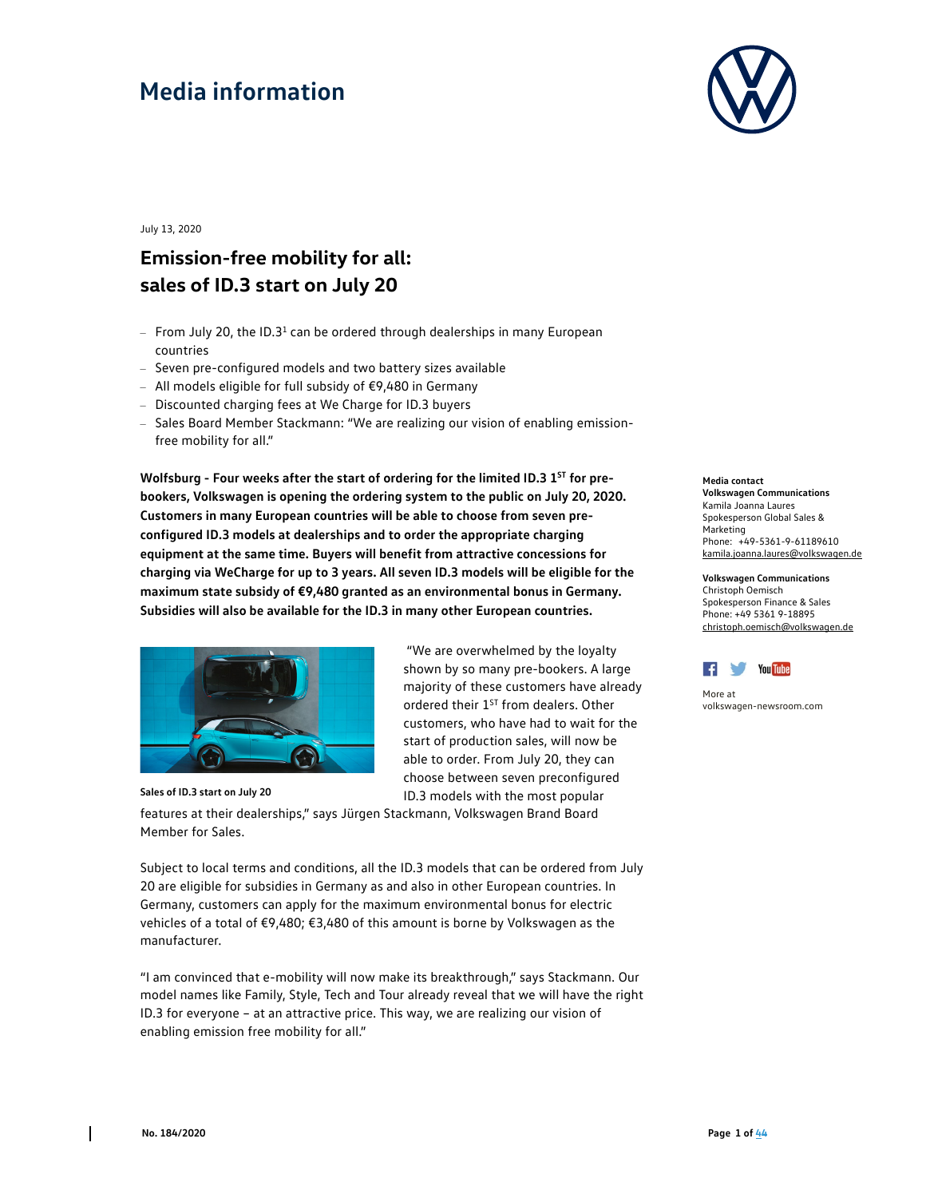

July 13, 2020

### **Emission-free mobility for all: sales of ID.3 start on July 20**

- $-$  From July 20, the ID.3<sup>1</sup> can be ordered through dealerships in many European countries
- Seven pre-configured models and two battery sizes available
- $-$  All models eligible for full subsidy of €9,480 in Germany
- Discounted charging fees at We Charge for ID.3 buyers
- Sales Board Member Stackmann: "We are realizing our vision of enabling emissionfree mobility for all."

Wolfsburg - Four weeks after the start of ordering for the limited ID.3 1<sup>ST</sup> for pre**bookers, Volkswagen is opening the ordering system to the public on July 20, 2020. Customers in many European countries will be able to choose from seven preconfigured ID.3 models at dealerships and to order the appropriate charging equipment at the same time. Buyers will benefit from attractive concessions for charging via WeCharge for up to 3 years. All seven ID.3 models will be eligible for the maximum state subsidy of €9,480 granted as an environmental bonus in Germany. Subsidies will also be available for the ID.3 in many other European countries.** 



 "We are overwhelmed by the loyalty shown by so many pre-bookers. A large majority of these customers have already ordered their 1<sup>ST</sup> from dealers. Other customers, who have had to wait for the start of production sales, will now be able to order. From July 20, they can choose between seven preconfigured ID.3 models with the most popular

**Sales of ID.3 start on July 20** 

features at their dealerships," says Jürgen Stackmann, Volkswagen Brand Board Member for Sales.

Subject to local terms and conditions, all the ID.3 models that can be ordered from July 20 are eligible for subsidies in Germany as and also in other European countries. In Germany, customers can apply for the maximum environmental bonus for electric vehicles of a total of €9,480; €3,480 of this amount is borne by Volkswagen as the manufacturer.

"I am convinced that e-mobility will now make its breakthrough," says Stackmann. Our model names like Family, Style, Tech and Tour already reveal that we will have the right ID.3 for everyone – at an attractive price. This way, we are realizing our vision of enabling emission free mobility for all."

#### **Media contact Volkswagen Communications**  Kamila Joanna Laures Spokesperson Global Sales & Marketing Phone: +49-5361-9-61189610 kamila.joanna.laures@volkswagen.de

**Volkswagen Communications**  Christoph Oemisch Spokesperson Finance & Sales Phone: +49 5361 9-18895 christoph.oemisch@volkswagen.de



More at volkswagen-newsroom.com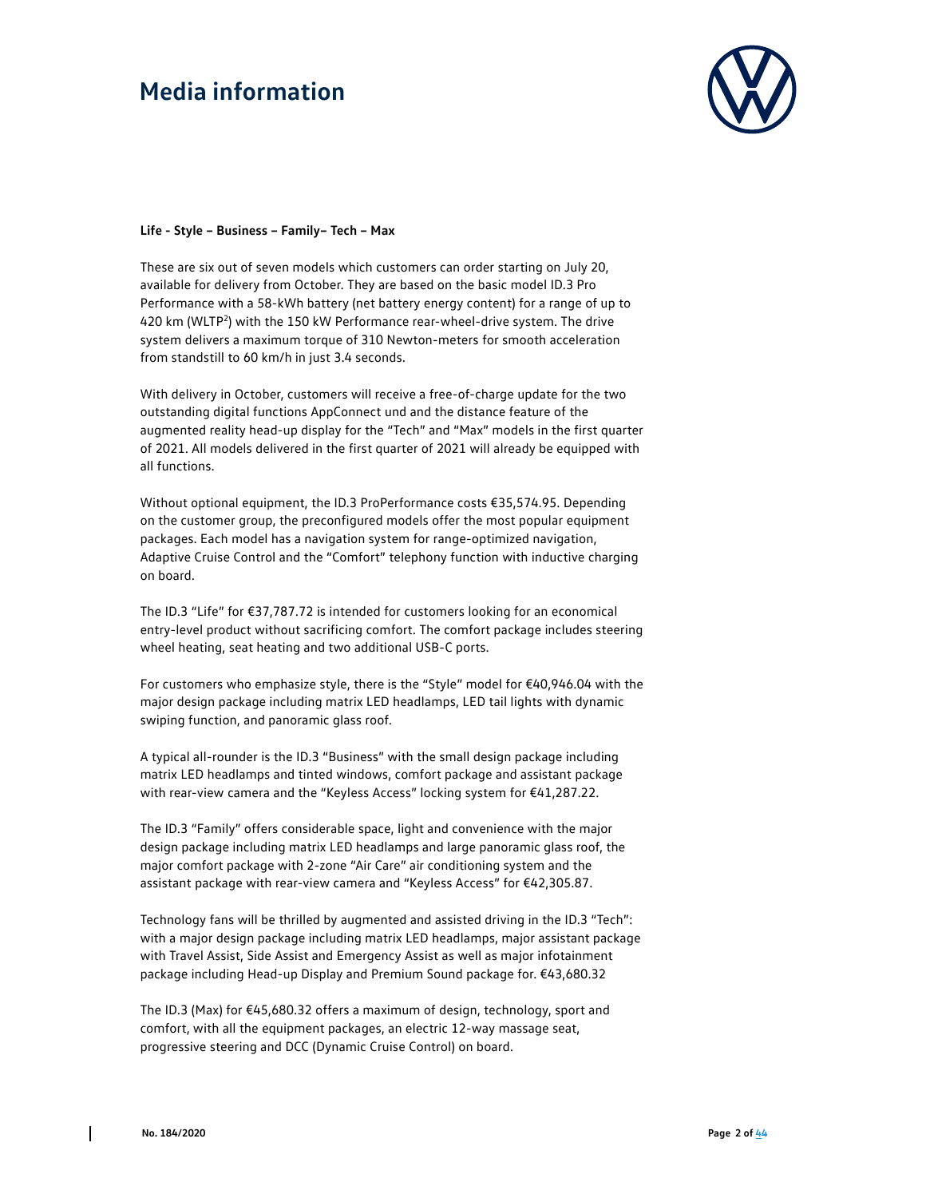

#### **Life - Style – Business – Family– Tech – Max**

These are six out of seven models which customers can order starting on July 20, available for delivery from October. They are based on the basic model ID.3 Pro Performance with a 58-kWh battery (net battery energy content) for a range of up to 420 km (WLTP2) with the 150 kW Performance rear-wheel-drive system. The drive system delivers a maximum torque of 310 Newton-meters for smooth acceleration from standstill to 60 km/h in just 3.4 seconds.

With delivery in October, customers will receive a free-of-charge update for the two outstanding digital functions AppConnect und and the distance feature of the augmented reality head-up display for the "Tech" and "Max" models in the first quarter of 2021. All models delivered in the first quarter of 2021 will already be equipped with all functions.

Without optional equipment, the ID.3 ProPerformance costs €35,574.95. Depending on the customer group, the preconfigured models offer the most popular equipment packages. Each model has a navigation system for range-optimized navigation, Adaptive Cruise Control and the "Comfort" telephony function with inductive charging on board.

The ID.3 "Life" for €37,787.72 is intended for customers looking for an economical entry-level product without sacrificing comfort. The comfort package includes steering wheel heating, seat heating and two additional USB-C ports.

For customers who emphasize style, there is the "Style" model for €40,946.04 with the major design package including matrix LED headlamps, LED tail lights with dynamic swiping function, and panoramic glass roof.

A typical all-rounder is the ID.3 "Business" with the small design package including matrix LED headlamps and tinted windows, comfort package and assistant package with rear-view camera and the "Keyless Access" locking system for €41,287.22.

The ID.3 "Family" offers considerable space, light and convenience with the major design package including matrix LED headlamps and large panoramic glass roof, the major comfort package with 2-zone "Air Care" air conditioning system and the assistant package with rear-view camera and "Keyless Access" for €42,305.87.

Technology fans will be thrilled by augmented and assisted driving in the ID.3 "Tech": with a major design package including matrix LED headlamps, major assistant package with Travel Assist, Side Assist and Emergency Assist as well as major infotainment package including Head-up Display and Premium Sound package for. €43,680.32

The ID.3 (Max) for  $\epsilon$ 45,680.32 offers a maximum of design, technology, sport and comfort, with all the equipment packages, an electric 12-way massage seat, progressive steering and DCC (Dynamic Cruise Control) on board.

 $\overline{\phantom{a}}$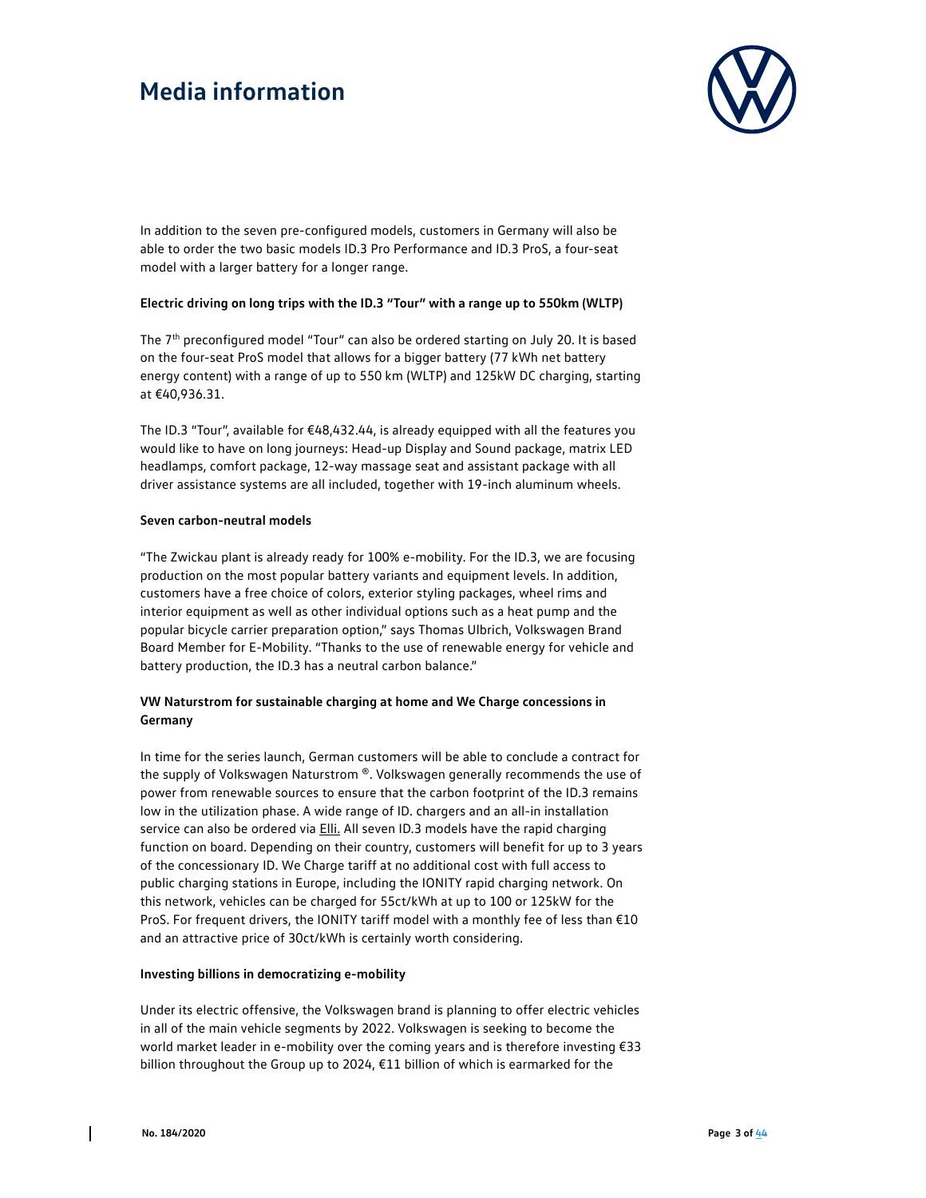

In addition to the seven pre-configured models, customers in Germany will also be able to order the two basic models ID.3 Pro Performance and ID.3 ProS, a four-seat model with a larger battery for a longer range.

### **Electric driving on long trips with the ID.3 "Tour" with a range up to 550km (WLTP)**

The 7<sup>th</sup> preconfigured model "Tour" can also be ordered starting on July 20. It is based on the four-seat ProS model that allows for a bigger battery (77 kWh net battery energy content) with a range of up to 550 km (WLTP) and 125kW DC charging, starting at €40,936.31.

The ID.3 "Tour", available for €48,432.44, is already equipped with all the features you would like to have on long journeys: Head-up Display and Sound package, matrix LED headlamps, comfort package, 12-way massage seat and assistant package with all driver assistance systems are all included, together with 19-inch aluminum wheels.

#### **Seven carbon-neutral models**

"The Zwickau plant is already ready for 100% e-mobility. For the ID.3, we are focusing production on the most popular battery variants and equipment levels. In addition, customers have a free choice of colors, exterior styling packages, wheel rims and interior equipment as well as other individual options such as a heat pump and the popular bicycle carrier preparation option," says Thomas Ulbrich, Volkswagen Brand Board Member for E-Mobility. "Thanks to the use of renewable energy for vehicle and battery production, the ID.3 has a neutral carbon balance."

### **VW Naturstrom for sustainable charging at home and We Charge concessions in Germany**

In time for the series launch, German customers will be able to conclude a contract for the supply of Volkswagen Naturstrom ®. Volkswagen generally recommends the use of power from renewable sources to ensure that the carbon footprint of the ID.3 remains low in the utilization phase. A wide range of ID. chargers and an all-in installation service can also be ordered via **Elli.** All seven ID.3 models have the rapid charging function on board. Depending on their country, customers will benefit for up to 3 years of the concessionary ID. We Charge tariff at no additional cost with full access to public charging stations in Europe, including the IONITY rapid charging network. On this network, vehicles can be charged for 55ct/kWh at up to 100 or 125kW for the ProS. For frequent drivers, the IONITY tariff model with a monthly fee of less than €10 and an attractive price of 30ct/kWh is certainly worth considering.

### **Investing billions in democratizing e-mobility**

Under its electric offensive, the Volkswagen brand is planning to offer electric vehicles in all of the main vehicle segments by 2022. Volkswagen is seeking to become the world market leader in e-mobility over the coming years and is therefore investing €33 billion throughout the Group up to 2024, €11 billion of which is earmarked for the

 $\mathsf{l}$